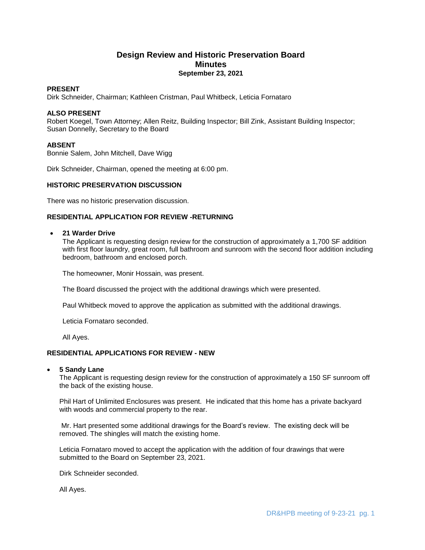# **Design Review and Historic Preservation Board Minutes September 23, 2021**

### **PRESENT**

Dirk Schneider, Chairman; Kathleen Cristman, Paul Whitbeck, Leticia Fornataro

### **ALSO PRESENT**

Robert Koegel, Town Attorney; Allen Reitz, Building Inspector; Bill Zink, Assistant Building Inspector; Susan Donnelly, Secretary to the Board

# **ABSENT**

Bonnie Salem, John Mitchell, Dave Wigg

Dirk Schneider, Chairman, opened the meeting at 6:00 pm.

#### **HISTORIC PRESERVATION DISCUSSION**

There was no historic preservation discussion.

### **RESIDENTIAL APPLICATION FOR REVIEW -RETURNING**

#### **21 Warder Drive**

The Applicant is requesting design review for the construction of approximately a 1,700 SF addition with first floor laundry, great room, full bathroom and sunroom with the second floor addition including bedroom, bathroom and enclosed porch.

The homeowner, Monir Hossain, was present.

The Board discussed the project with the additional drawings which were presented.

Paul Whitbeck moved to approve the application as submitted with the additional drawings.

Leticia Fornataro seconded.

All Ayes.

# **RESIDENTIAL APPLICATIONS FOR REVIEW - NEW**

#### **5 Sandy Lane**

The Applicant is requesting design review for the construction of approximately a 150 SF sunroom off the back of the existing house.

Phil Hart of Unlimited Enclosures was present. He indicated that this home has a private backyard with woods and commercial property to the rear.

Mr. Hart presented some additional drawings for the Board's review. The existing deck will be removed. The shingles will match the existing home.

Leticia Fornataro moved to accept the application with the addition of four drawings that were submitted to the Board on September 23, 2021.

Dirk Schneider seconded.

All Ayes.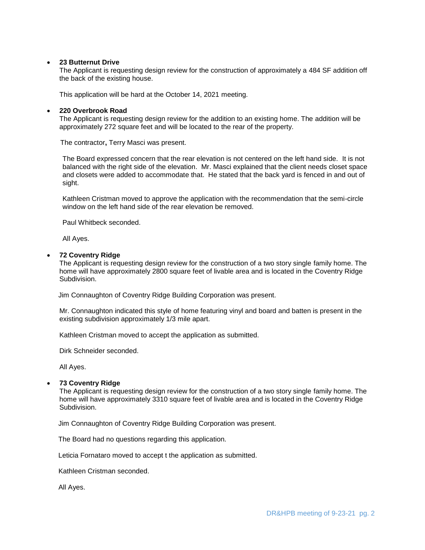#### **23 Butternut Drive**

The Applicant is requesting design review for the construction of approximately a 484 SF addition off the back of the existing house.

This application will be hard at the October 14, 2021 meeting.

### **220 Overbrook Road**

The Applicant is requesting design review for the addition to an existing home. The addition will be approximately 272 square feet and will be located to the rear of the property.

The contractor**,** Terry Masci was present.

The Board expressed concern that the rear elevation is not centered on the left hand side. It is not balanced with the right side of the elevation. Mr. Masci explained that the client needs closet space and closets were added to accommodate that. He stated that the back yard is fenced in and out of sight.

Kathleen Cristman moved to approve the application with the recommendation that the semi-circle window on the left hand side of the rear elevation be removed.

Paul Whitbeck seconded.

All Ayes.

#### **72 Coventry Ridge**

The Applicant is requesting design review for the construction of a two story single family home. The home will have approximately 2800 square feet of livable area and is located in the Coventry Ridge Subdivision.

Jim Connaughton of Coventry Ridge Building Corporation was present.

Mr. Connaughton indicated this style of home featuring vinyl and board and batten is present in the existing subdivision approximately 1/3 mile apart.

Kathleen Cristman moved to accept the application as submitted.

Dirk Schneider seconded.

All Ayes.

#### **73 Coventry Ridge**

The Applicant is requesting design review for the construction of a two story single family home. The home will have approximately 3310 square feet of livable area and is located in the Coventry Ridge Subdivision.

Jim Connaughton of Coventry Ridge Building Corporation was present.

The Board had no questions regarding this application.

Leticia Fornataro moved to accept t the application as submitted.

Kathleen Cristman seconded.

All Ayes.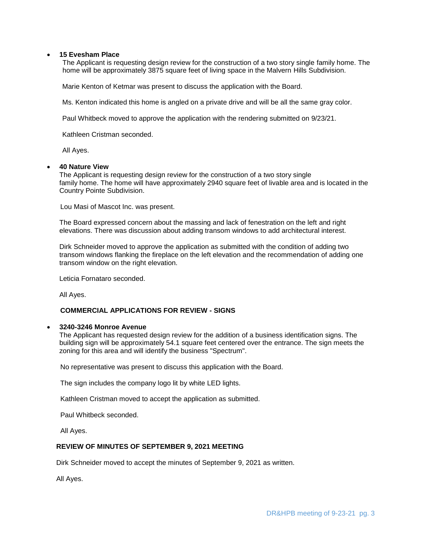### **15 Evesham Place**

The Applicant is requesting design review for the construction of a two story single family home. The home will be approximately 3875 square feet of living space in the Malvern Hills Subdivision.

Marie Kenton of Ketmar was present to discuss the application with the Board.

Ms. Kenton indicated this home is angled on a private drive and will be all the same gray color.

Paul Whitbeck moved to approve the application with the rendering submitted on 9/23/21.

Kathleen Cristman seconded.

All Ayes.

#### **40 Nature View**

The Applicant is requesting design review for the construction of a two story single family home. The home will have approximately 2940 square feet of livable area and is located in the Country Pointe Subdivision.

Lou Masi of Mascot Inc. was present.

The Board expressed concern about the massing and lack of fenestration on the left and right elevations. There was discussion about adding transom windows to add architectural interest.

Dirk Schneider moved to approve the application as submitted with the condition of adding two transom windows flanking the fireplace on the left elevation and the recommendation of adding one transom window on the right elevation.

Leticia Fornataro seconded.

All Ayes.

### **COMMERCIAL APPLICATIONS FOR REVIEW - SIGNS**

#### **3240-3246 Monroe Avenue**

The Applicant has requested design review for the addition of a business identification signs. The building sign will be approximately 54.1 square feet centered over the entrance. The sign meets the zoning for this area and will identify the business "Spectrum".

No representative was present to discuss this application with the Board.

The sign includes the company logo lit by white LED lights.

Kathleen Cristman moved to accept the application as submitted.

Paul Whitbeck seconded.

All Ayes.

## **REVIEW OF MINUTES OF SEPTEMBER 9, 2021 MEETING**

Dirk Schneider moved to accept the minutes of September 9, 2021 as written.

All Ayes.